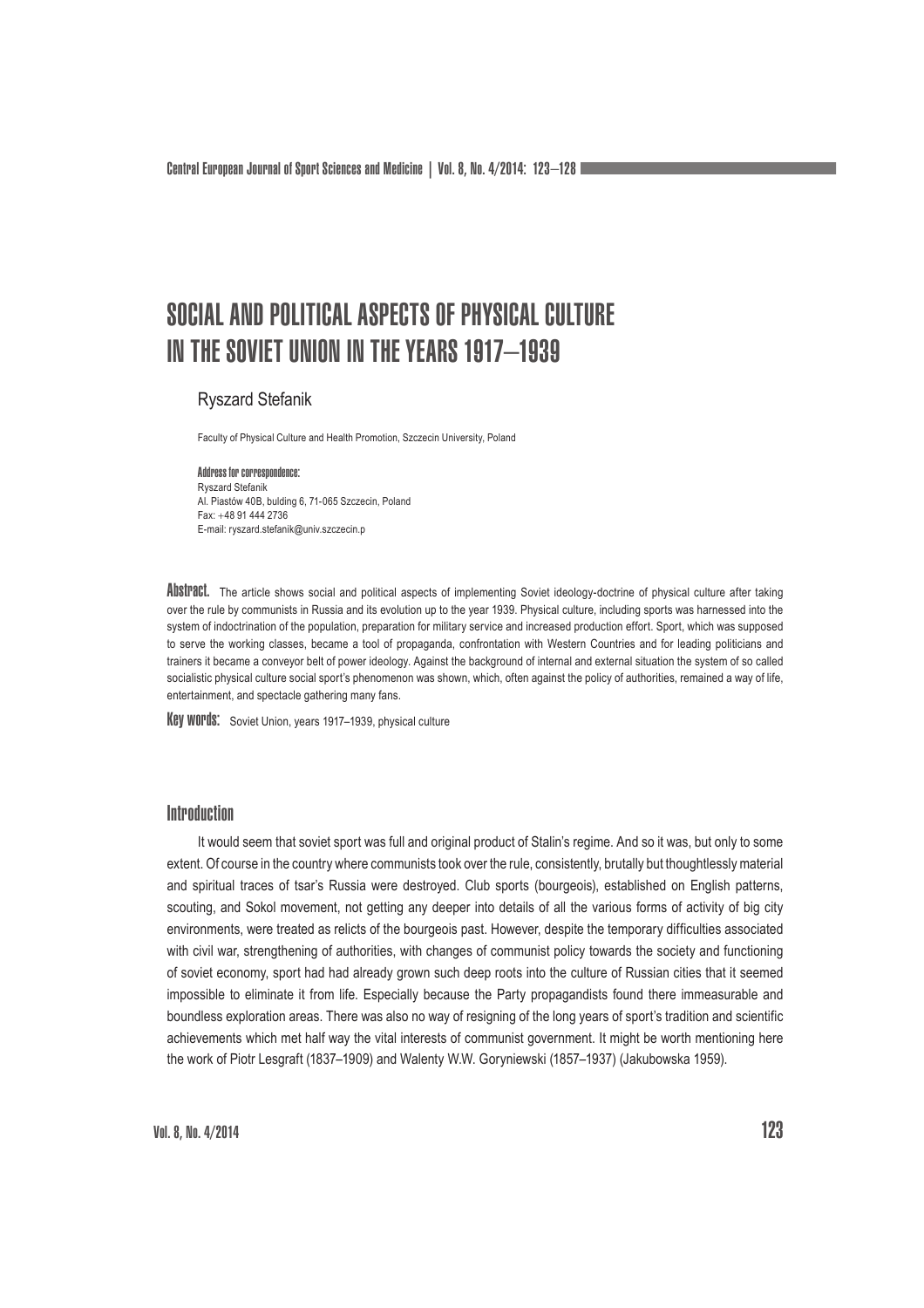# SOCIAL AND POLITICAL ASPECTS OF PHYSICAL CULTURE IN THE SOVIET UNION IN THE YEARS 1917–1939

## Ryszard Stefanik

Faculty of Physical Culture and Health Promotion, Szczecin University, Poland

Address for correspondence: Ryszard Stefanik Al. Piastów 40B, bulding 6, 71-065 Szczecin, Poland Fax: 48 91 444 2736 E-mail: ryszard.stefanik@univ.szczecin.p

Abstract. The article shows social and political aspects of implementing Soviet ideology-doctrine of physical culture after taking over the rule by communists in Russia and its evolution up to the year 1939. Physical culture, including sports was harnessed into the system of indoctrination of the population, preparation for military service and increased production effort. Sport, which was supposed to serve the working classes, became a tool of propaganda, confrontation with Western Countries and for leading politicians and trainers it became a conveyor belt of power ideology. Against the background of internal and external situation the system of so called socialistic physical culture social sport's phenomenon was shown, which, often against the policy of authorities, remained a way of life, entertainment, and spectacle gathering many fans.

Key words: Soviet Union, years 1917–1939, physical culture

## **Introduction**

It would seem that soviet sport was full and original product of Stalin's regime. And so it was, but only to some extent. Of course in the country where communists took over the rule, consistently, brutally but thoughtlessly material and spiritual traces of tsar's Russia were destroyed. Club sports (bourgeois), established on English patterns, scouting, and Sokol movement, not getting any deeper into details of all the various forms of activity of big city environments, were treated as relicts of the bourgeois past. However, despite the temporary difficulties associated with civil war, strengthening of authorities, with changes of communist policy towards the society and functioning of soviet economy, sport had had already grown such deep roots into the culture of Russian cities that it seemed impossible to eliminate it from life. Especially because the Party propagandists found there immeasurable and boundless exploration areas. There was also no way of resigning of the long years of sport's tradition and scientific achievements which met half way the vital interests of communist government. It might be worth mentioning here the work of Piotr Lesgraft (1837–1909) and Walenty W.W. Goryniewski (1857–1937) (Jakubowska 1959).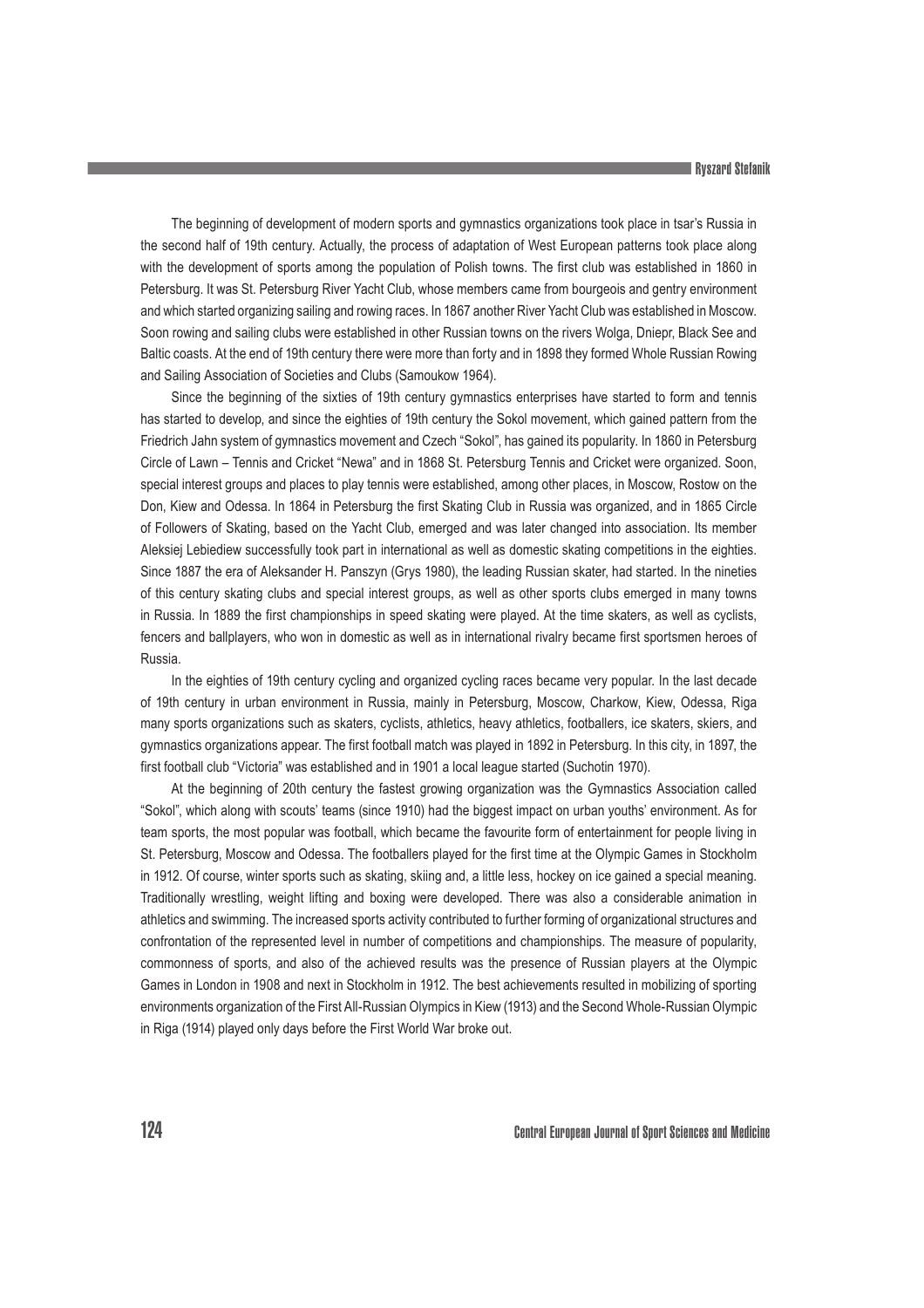#### Ryszard Stefanik

The beginning of development of modern sports and gymnastics organizations took place in tsar's Russia in the second half of 19th century. Actually, the process of adaptation of West European patterns took place along with the development of sports among the population of Polish towns. The first club was established in 1860 in Petersburg. It was St. Petersburg River Yacht Club, whose members came from bourgeois and gentry environment and which started organizing sailing and rowing races. In 1867 another River Yacht Club was established in Moscow. Soon rowing and sailing clubs were established in other Russian towns on the rivers Wolga, Dniepr, Black See and Baltic coasts. At the end of 19th century there were more than forty and in 1898 they formed Whole Russian Rowing and Sailing Association of Societies and Clubs (Samoukow 1964).

Since the beginning of the sixties of 19th century gymnastics enterprises have started to form and tennis has started to develop, and since the eighties of 19th century the Sokol movement, which gained pattern from the Friedrich Jahn system of gymnastics movement and Czech "Sokol", has gained its popularity. In 1860 in Petersburg Circle of Lawn – Tennis and Cricket "Newa" and in 1868 St. Petersburg Tennis and Cricket were organized. Soon, special interest groups and places to play tennis were established, among other places, in Moscow, Rostow on the Don, Kiew and Odessa. In 1864 in Petersburg the first Skating Club in Russia was organized, and in 1865 Circle of Followers of Skating, based on the Yacht Club, emerged and was later changed into association. Its member Aleksiej Lebiediew successfully took part in international as well as domestic skating competitions in the eighties. Since 1887 the era of Aleksander H. Panszyn (Grys 1980), the leading Russian skater, had started. In the nineties of this century skating clubs and special interest groups, as well as other sports clubs emerged in many towns in Russia. In 1889 the first championships in speed skating were played. At the time skaters, as well as cyclists, fencers and ballplayers, who won in domestic as well as in international rivalry became first sportsmen heroes of Russia.

In the eighties of 19th century cycling and organized cycling races became very popular. In the last decade of 19th century in urban environment in Russia, mainly in Petersburg, Moscow, Charkow, Kiew, Odessa, Riga many sports organizations such as skaters, cyclists, athletics, heavy athletics, footballers, ice skaters, skiers, and gymnastics organizations appear. The first football match was played in 1892 in Petersburg. In this city, in 1897, the first football club "Victoria" was established and in 1901 a local league started (Suchotin 1970).

At the beginning of 20th century the fastest growing organization was the Gymnastics Association called "Sokol", which along with scouts' teams (since 1910) had the biggest impact on urban youths' environment. As for team sports, the most popular was football, which became the favourite form of entertainment for people living in St. Petersburg, Moscow and Odessa. The footballers played for the first time at the Olympic Games in Stockholm in 1912. Of course, winter sports such as skating, skiing and, a little less, hockey on ice gained a special meaning. Traditionally wrestling, weight lifting and boxing were developed. There was also a considerable animation in athletics and swimming. The increased sports activity contributed to further forming of organizational structures and confrontation of the represented level in number of competitions and championships. The measure of popularity, commonness of sports, and also of the achieved results was the presence of Russian players at the Olympic Games in London in 1908 and next in Stockholm in 1912. The best achievements resulted in mobilizing of sporting environments organization of the First All-Russian Olympics in Kiew (1913) and the Second Whole-Russian Olympic in Riga (1914) played only days before the First World War broke out.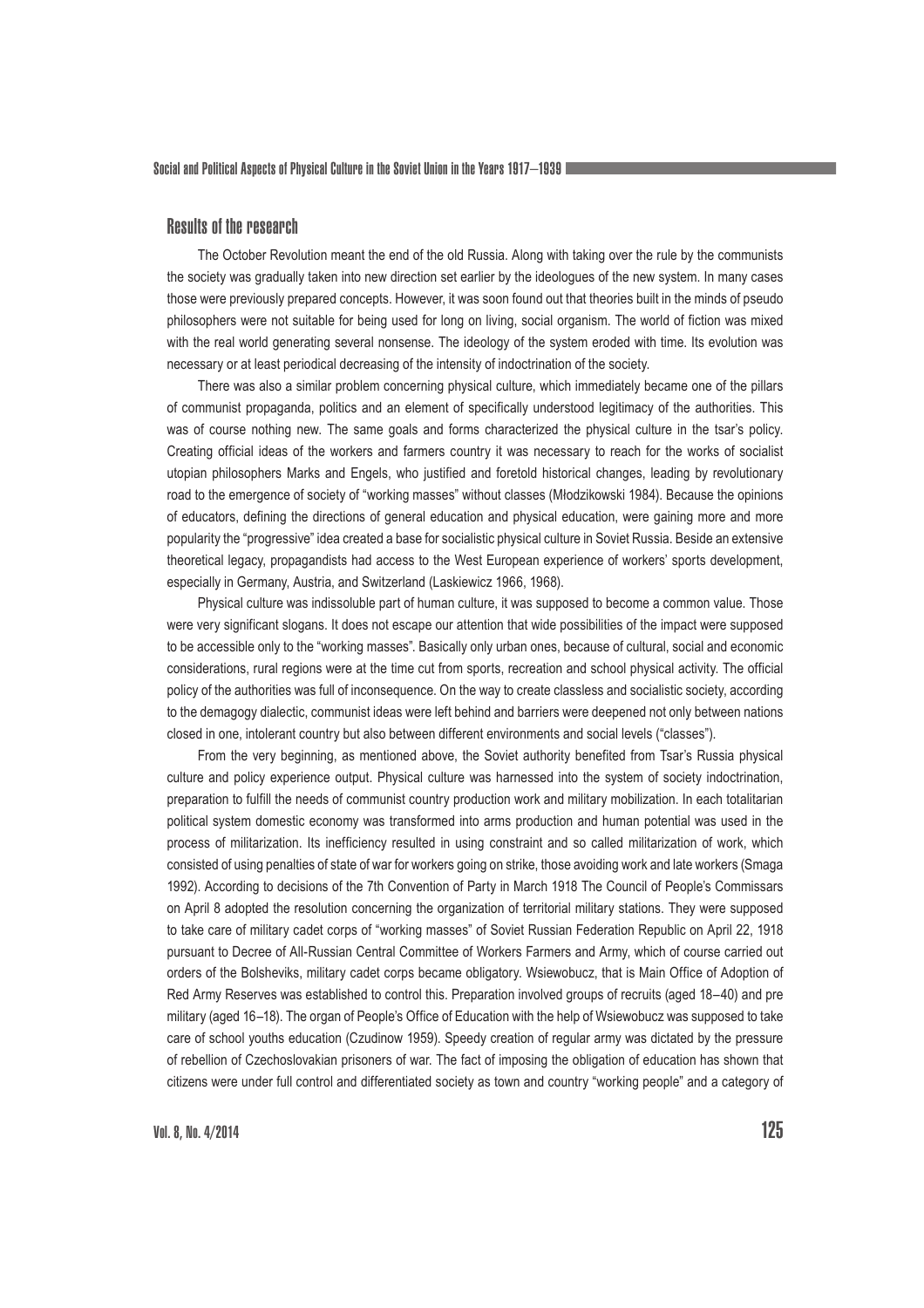## Results of the research

The October Revolution meant the end of the old Russia. Along with taking over the rule by the communists the society was gradually taken into new direction set earlier by the ideologues of the new system. In many cases those were previously prepared concepts. However, it was soon found out that theories built in the minds of pseudo philosophers were not suitable for being used for long on living, social organism. The world of fiction was mixed with the real world generating several nonsense. The ideology of the system eroded with time. Its evolution was necessary or at least periodical decreasing of the intensity of indoctrination of the society.

There was also a similar problem concerning physical culture, which immediately became one of the pillars of communist propaganda, politics and an element of specifically understood legitimacy of the authorities. This was of course nothing new. The same goals and forms characterized the physical culture in the tsar's policy. Creating official ideas of the workers and farmers country it was necessary to reach for the works of socialist utopian philosophers Marks and Engels, who justified and foretold historical changes, leading by revolutionary road to the emergence of society of "working masses" without classes (Młodzikowski 1984). Because the opinions of educators, defining the directions of general education and physical education, were gaining more and more popularity the "progressive" idea created a base for socialistic physical culture in Soviet Russia. Beside an extensive theoretical legacy, propagandists had access to the West European experience of workers' sports development, especially in Germany, Austria, and Switzerland (Laskiewicz 1966, 1968).

Physical culture was indissoluble part of human culture, it was supposed to become a common value. Those were very significant slogans. It does not escape our attention that wide possibilities of the impact were supposed to be accessible only to the "working masses". Basically only urban ones, because of cultural, social and economic considerations, rural regions were at the time cut from sports, recreation and school physical activity. The official policy of the authorities was full of inconsequence. On the way to create classless and socialistic society, according to the demagogy dialectic, communist ideas were left behind and barriers were deepened not only between nations closed in one, intolerant country but also between different environments and social levels ("classes").

From the very beginning, as mentioned above, the Soviet authority benefited from Tsar's Russia physical culture and policy experience output. Physical culture was harnessed into the system of society indoctrination, preparation to fulfill the needs of communist country production work and military mobilization. In each totalitarian political system domestic economy was transformed into arms production and human potential was used in the process of militarization. Its inefficiency resulted in using constraint and so called militarization of work, which consisted of using penalties of state of war for workers going on strike, those avoiding work and late workers (Smaga 1992). According to decisions of the 7th Convention of Party in March 1918 The Council of People's Commissars on April 8 adopted the resolution concerning the organization of territorial military stations. They were supposed to take care of military cadet corps of "working masses" of Soviet Russian Federation Republic on April 22, 1918 pursuant to Decree of All-Russian Central Committee of Workers Farmers and Army, which of course carried out orders of the Bolsheviks, military cadet corps became obligatory. Wsiewobucz, that is Main Office of Adoption of Red Army Reserves was established to control this. Preparation involved groups of recruits (aged 18–40) and pre military (aged 16–18). The organ of People's Office of Education with the help of Wsiewobucz was supposed to take care of school youths education (Czudinow 1959). Speedy creation of regular army was dictated by the pressure of rebellion of Czechoslovakian prisoners of war. The fact of imposing the obligation of education has shown that citizens were under full control and differentiated society as town and country "working people" and a category of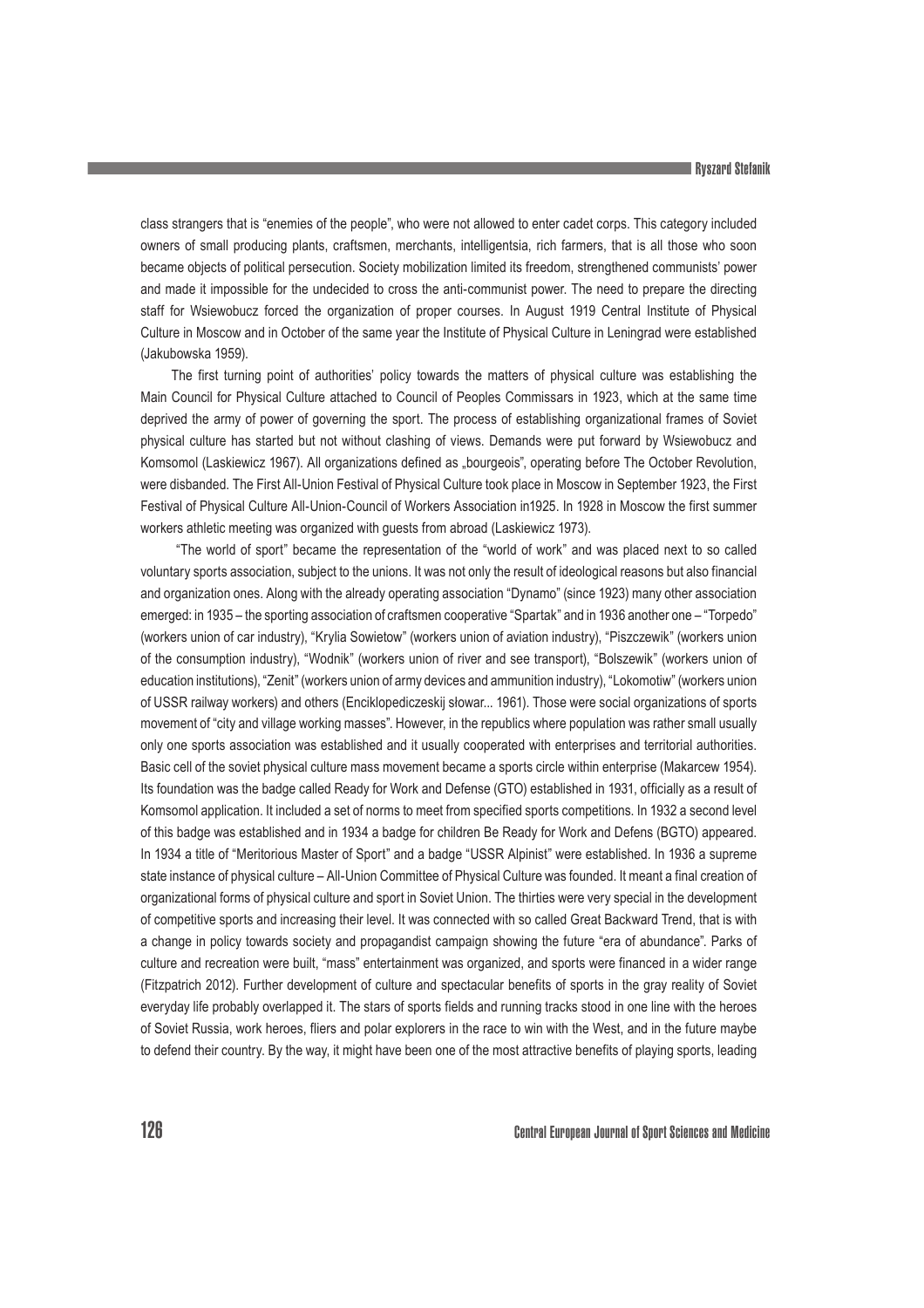class strangers that is "enemies of the people", who were not allowed to enter cadet corps. This category included owners of small producing plants, craftsmen, merchants, intelligentsia, rich farmers, that is all those who soon became objects of political persecution. Society mobilization limited its freedom, strengthened communists' power and made it impossible for the undecided to cross the anti-communist power. The need to prepare the directing staff for Wsiewobucz forced the organization of proper courses. In August 1919 Central Institute of Physical Culture in Moscow and in October of the same year the Institute of Physical Culture in Leningrad were established (Jakubowska 1959).

The first turning point of authorities' policy towards the matters of physical culture was establishing the Main Council for Physical Culture attached to Council of Peoples Commissars in 1923, which at the same time deprived the army of power of governing the sport. The process of establishing organizational frames of Soviet physical culture has started but not without clashing of views. Demands were put forward by Wsiewobucz and Komsomol (Laskiewicz 1967). All organizations defined as "bourgeois", operating before The October Revolution, were disbanded. The First All-Union Festival of Physical Culture took place in Moscow in September 1923, the First Festival of Physical Culture All-Union-Council of Workers Association in1925. In 1928 in Moscow the first summer workers athletic meeting was organized with guests from abroad (Laskiewicz 1973).

 "The world of sport" became the representation of the "world of work" and was placed next to so called voluntary sports association, subject to the unions. It was not only the result of ideological reasons but also financial and organization ones. Along with the already operating association "Dynamo" (since 1923) many other association emerged: in 1935 – the sporting association of craftsmen cooperative "Spartak" and in 1936 another one – "Torpedo" (workers union of car industry), "Krylia Sowietow" (workers union of aviation industry), "Piszczewik" (workers union of the consumption industry), "Wodnik" (workers union of river and see transport), "Bolszewik" (workers union of education institutions), "Zenit" (workers union of army devices and ammunition industry), "Lokomotiw" (workers union of USSR railway workers) and others (Enciklopediczeskij słowar... 1961). Those were social organizations of sports movement of "city and village working masses". However, in the republics where population was rather small usually only one sports association was established and it usually cooperated with enterprises and territorial authorities. Basic cell of the soviet physical culture mass movement became a sports circle within enterprise (Makarcew 1954). Its foundation was the badge called Ready for Work and Defense (GTO) established in 1931, officially as a result of Komsomol application. It included a set of norms to meet from specified sports competitions. In 1932 a second level of this badge was established and in 1934 a badge for children Be Ready for Work and Defens (BGTO) appeared. In 1934 a title of "Meritorious Master of Sport" and a badge "USSR Alpinist" were established. In 1936 a supreme state instance of physical culture – All-Union Committee of Physical Culture was founded. It meant a final creation of organizational forms of physical culture and sport in Soviet Union. The thirties were very special in the development of competitive sports and increasing their level. It was connected with so called Great Backward Trend, that is with a change in policy towards society and propagandist campaign showing the future "era of abundance". Parks of culture and recreation were built, "mass" entertainment was organized, and sports were financed in a wider range (Fitzpatrich 2012). Further development of culture and spectacular benefits of sports in the gray reality of Soviet everyday life probably overlapped it. The stars of sports fields and running tracks stood in one line with the heroes of Soviet Russia, work heroes, fliers and polar explorers in the race to win with the West, and in the future maybe to defend their country. By the way, it might have been one of the most attractive benefits of playing sports, leading

126 Central European Journal of Sport Sciences and Medicine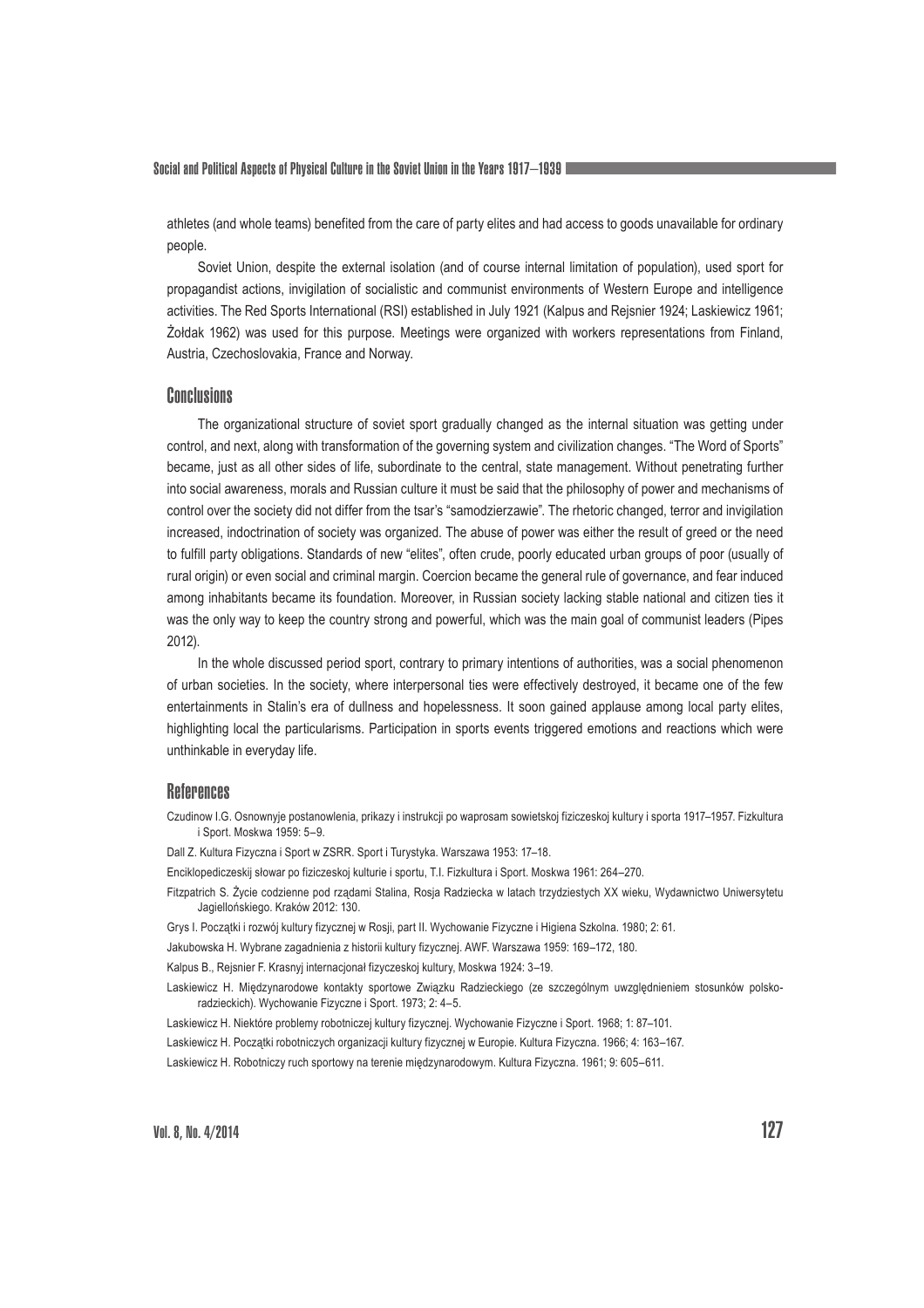Social and Political Aspects of Physical Culture in the Soviet Union in the Years 1917–1939

athletes (and whole teams) benefited from the care of party elites and had access to goods unavailable for ordinary people.

Soviet Union, despite the external isolation (and of course internal limitation of population), used sport for propagandist actions, invigilation of socialistic and communist environments of Western Europe and intelligence activities. The Red Sports International (RSI) established in July 1921 (Kalpus and Rejsnier 1924; Laskiewicz 1961; Żołdak 1962) was used for this purpose. Meetings were organized with workers representations from Finland, Austria, Czechoslovakia, France and Norway.

### **Conclusions**

The organizational structure of soviet sport gradually changed as the internal situation was getting under control, and next, along with transformation of the governing system and civilization changes. "The Word of Sports" became, just as all other sides of life, subordinate to the central, state management. Without penetrating further into social awareness, morals and Russian culture it must be said that the philosophy of power and mechanisms of control over the society did not differ from the tsar's "samodzierzawie". The rhetoric changed, terror and invigilation increased, indoctrination of society was organized. The abuse of power was either the result of greed or the need to fulfill party obligations. Standards of new "elites", often crude, poorly educated urban groups of poor (usually of rural origin) or even social and criminal margin. Coercion became the general rule of governance, and fear induced among inhabitants became its foundation. Moreover, in Russian society lacking stable national and citizen ties it was the only way to keep the country strong and powerful, which was the main goal of communist leaders (Pipes 2012).

In the whole discussed period sport, contrary to primary intentions of authorities, was a social phenomenon of urban societies. In the society, where interpersonal ties were effectively destroyed, it became one of the few entertainments in Stalin's era of dullness and hopelessness. It soon gained applause among local party elites, highlighting local the particularisms. Participation in sports events triggered emotions and reactions which were unthinkable in everyday life.

## **References**

Czudinow I.G. Osnownyje postanowlenia, prikazy i instrukcji po waprosam sowietskoj fiziczeskoj kultury i sporta 1917–1957. Fizkultura i Sport. Moskwa 1959: 5–9.

Dall Z. Kultura Fizyczna i Sport w ZSRR. Sport i Turystyka. Warszawa 1953: 17–18.

- Enciklopediczeskij słowar po fiziczeskoj kulturie i sportu, T.I. Fizkultura i Sport. Moskwa 1961: 264–270.
- Fitzpatrich S. Życie codzienne pod rządami Stalina, Rosja Radziecka w latach trzydziestych XX wieku, Wydawnictwo Uniwersytetu Jagiellońskiego. Kraków 2012: 130.
- Grys I. Początki i rozwój kultury fizycznej w Rosji, part II. Wychowanie Fizyczne i Higiena Szkolna. 1980; 2: 61.
- Jakubowska H. Wybrane zagadnienia z historii kultury fizycznej. AWF. Warszawa 1959: 169–172, 180.

Kalpus B., Rejsnier F. Krasnyj internacjonał fizyczeskoj kultury, Moskwa 1924: 3-19.

Laskiewicz H. Międzynarodowe kontakty sportowe Związku Radzieckiego (ze szczególnym uwzględnieniem stosunków polskoradzieckich). Wychowanie Fizyczne i Sport. 1973; 2: 4–5.

Laskiewicz H. Niektóre problemy robotniczej kultury fizycznej. Wychowanie Fizyczne i Sport. 1968; 1: 87–101.

Laskiewicz H. Początki robotniczych organizacji kultury fizycznej w Europie. Kultura Fizyczna. 1966; 4: 163–167.

Laskiewicz H. Robotniczy ruch sportowy na terenie międzynarodowym. Kultura Fizyczna. 1961; 9: 605–611.